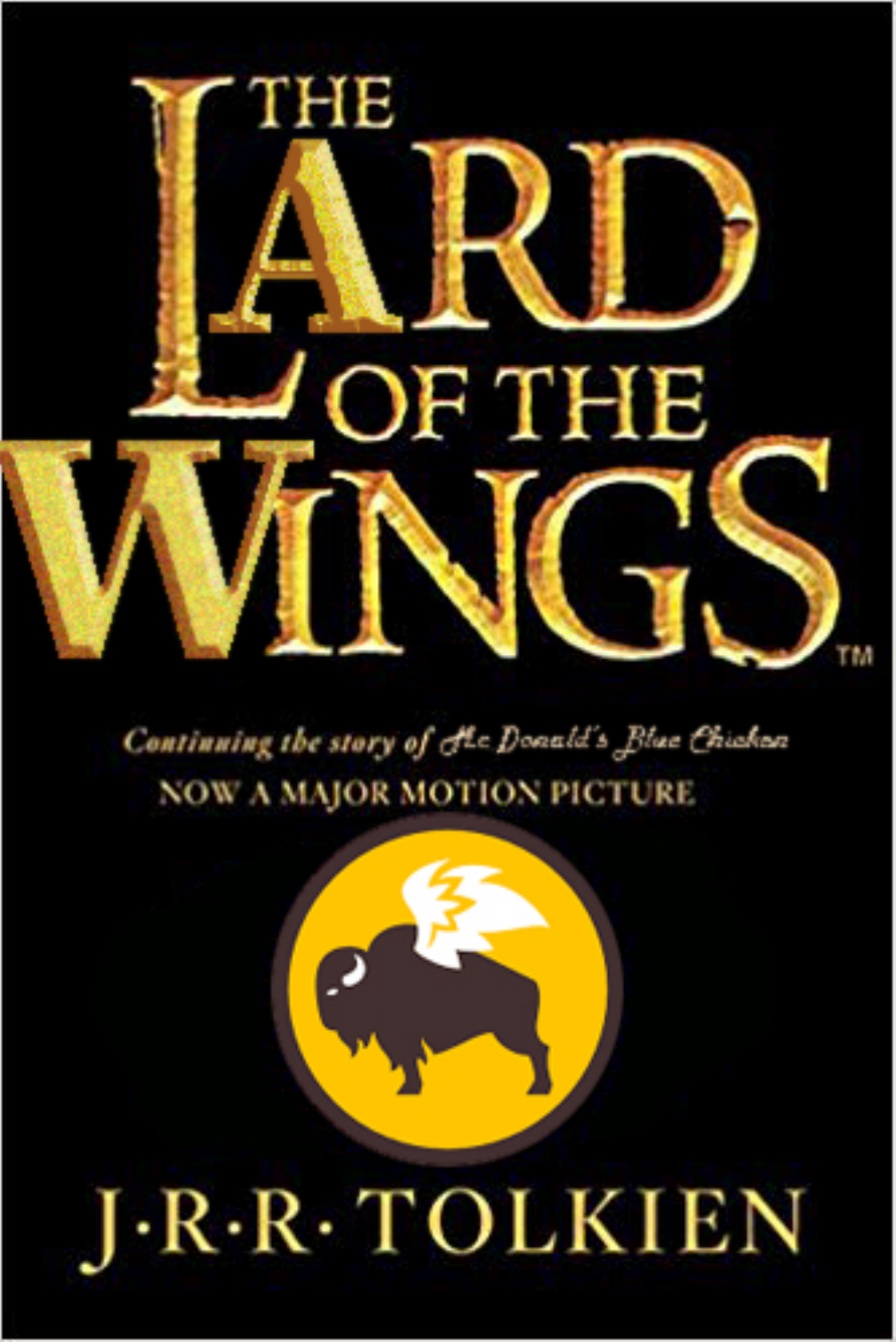

Continuing the story of the Donald's Blue Chicken **NOW A MAJOR MOTION PICTURE** 

## ·R·R·TOLKIEN